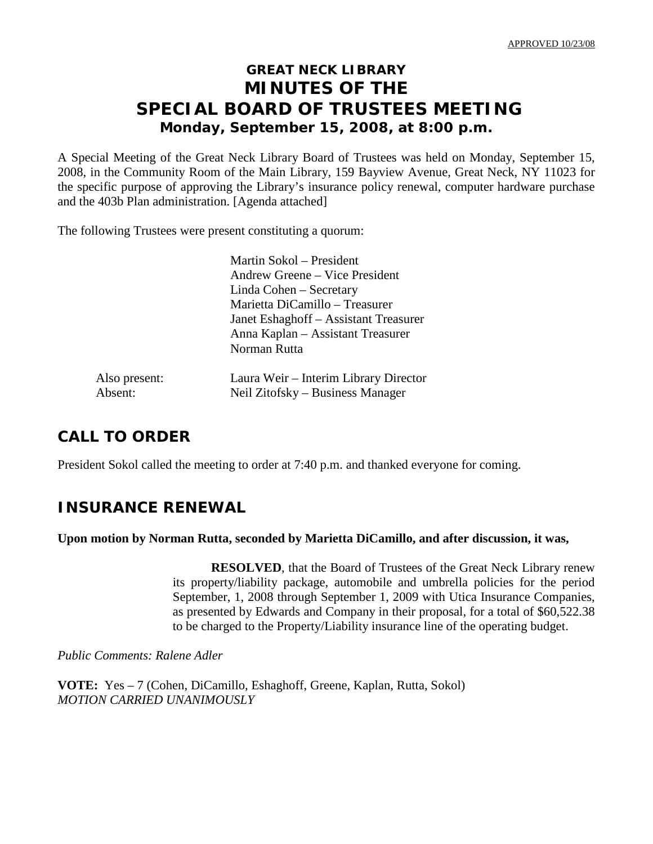# **GREAT NECK LIBRARY MINUTES OF THE SPECIAL BOARD OF TRUSTEES MEETING Monday, September 15, 2008, at 8:00 p.m.**

A Special Meeting of the Great Neck Library Board of Trustees was held on Monday, September 15, 2008, in the Community Room of the Main Library, 159 Bayview Avenue, Great Neck, NY 11023 for the specific purpose of approving the Library's insurance policy renewal, computer hardware purchase and the 403b Plan administration. [Agenda attached]

The following Trustees were present constituting a quorum:

Martin Sokol – President Andrew Greene – Vice President Linda Cohen – Secretary Marietta DiCamillo – Treasurer Janet Eshaghoff – Assistant Treasurer Anna Kaplan – Assistant Treasurer Norman Rutta

Laura Weir – Interim Library Director Neil Zitofsky – Business Manager

| Also present: |  |
|---------------|--|
| Absent:       |  |

# **CALL TO ORDER**

President Sokol called the meeting to order at 7:40 p.m. and thanked everyone for coming.

## **INSURANCE RENEWAL**

#### **Upon motion by Norman Rutta, seconded by Marietta DiCamillo, and after discussion, it was,**

**RESOLVED**, that the Board of Trustees of the Great Neck Library renew its property/liability package, automobile and umbrella policies for the period September, 1, 2008 through September 1, 2009 with Utica Insurance Companies, as presented by Edwards and Company in their proposal, for a total of \$60,522.38 to be charged to the Property/Liability insurance line of the operating budget.

*Public Comments: Ralene Adler*

**VOTE:** Yes – 7 (Cohen, DiCamillo, Eshaghoff, Greene, Kaplan, Rutta, Sokol) *MOTION CARRIED UNANIMOUSLY*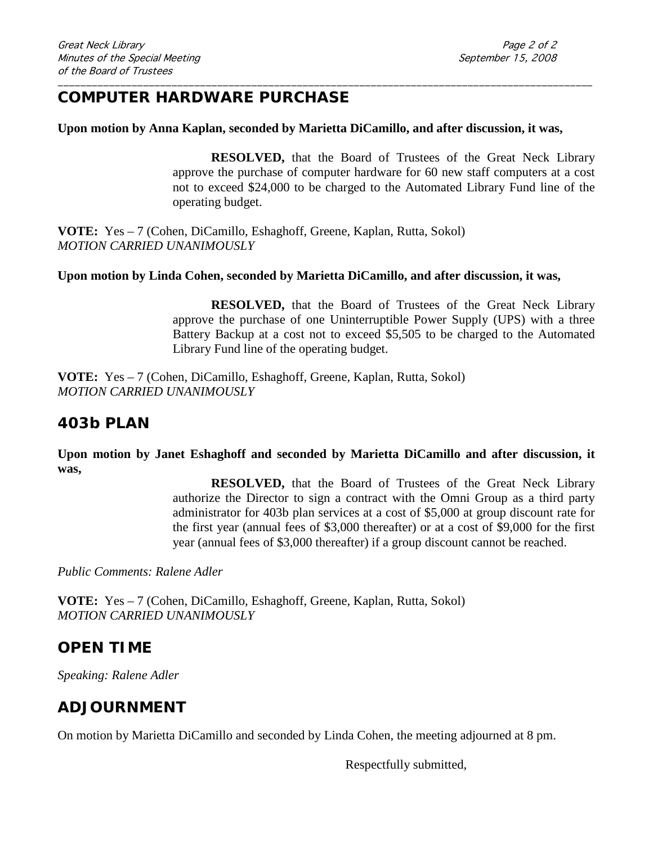## **COMPUTER HARDWARE PURCHASE**

#### **Upon motion by Anna Kaplan, seconded by Marietta DiCamillo, and after discussion, it was,**

\_\_\_\_\_\_\_\_\_\_\_\_\_\_\_\_\_\_\_\_\_\_\_\_\_\_\_\_\_\_\_\_\_\_\_\_\_\_\_\_\_\_\_\_\_\_\_\_\_\_\_\_\_\_\_\_\_\_\_\_\_\_\_\_\_\_\_\_\_\_\_\_\_\_\_\_\_\_\_\_\_\_\_\_\_\_\_\_\_\_\_\_\_\_

**RESOLVED,** that the Board of Trustees of the Great Neck Library approve the purchase of computer hardware for 60 new staff computers at a cost not to exceed \$24,000 to be charged to the Automated Library Fund line of the operating budget.

**VOTE:** Yes – 7 (Cohen, DiCamillo, Eshaghoff, Greene, Kaplan, Rutta, Sokol) *MOTION CARRIED UNANIMOUSLY*

#### **Upon motion by Linda Cohen, seconded by Marietta DiCamillo, and after discussion, it was,**

**RESOLVED,** that the Board of Trustees of the Great Neck Library approve the purchase of one Uninterruptible Power Supply (UPS) with a three Battery Backup at a cost not to exceed \$5,505 to be charged to the Automated Library Fund line of the operating budget.

**VOTE:** Yes – 7 (Cohen, DiCamillo, Eshaghoff, Greene, Kaplan, Rutta, Sokol) *MOTION CARRIED UNANIMOUSLY*

## **403b PLAN**

**Upon motion by Janet Eshaghoff and seconded by Marietta DiCamillo and after discussion, it was,**

> **RESOLVED,** that the Board of Trustees of the Great Neck Library authorize the Director to sign a contract with the Omni Group as a third party administrator for 403b plan services at a cost of \$5,000 at group discount rate for the first year (annual fees of \$3,000 thereafter) or at a cost of \$9,000 for the first year (annual fees of \$3,000 thereafter) if a group discount cannot be reached.

*Public Comments: Ralene Adler*

**VOTE:** Yes – 7 (Cohen, DiCamillo, Eshaghoff, Greene, Kaplan, Rutta, Sokol) *MOTION CARRIED UNANIMOUSLY*

### **OPEN TIME**

*Speaking: Ralene Adler*

## **ADJOURNMENT**

On motion by Marietta DiCamillo and seconded by Linda Cohen, the meeting adjourned at 8 pm.

Respectfully submitted,